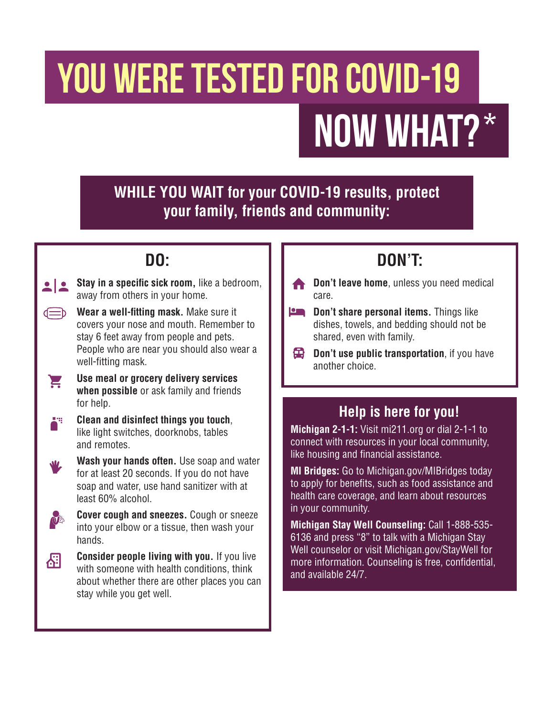# YOU WERE TESTED FOR COVID-19 Now What?\*

#### **WHILE YOU WAIT for your COVID-19 results, protect your family, friends and community:**

# **DO:**

- **Stay in a specific sick room,** like a bedroom,  $\bullet$   $\bullet$ away from others in your home. **Wear a well-fitting mask.** Make sure it covers your nose and mouth. Remember to stay 6 feet away from people and pets. People who are near you should also wear a well-fitting mask. **Use meal or grocery delivery services**  E **when possible** or ask family and friends for help. Ä<sup>4</sup> **Clean and disinfect things you touch**, like light switches, doorknobs, tables and remotes.
	- **Wash your hands often.** Use soap and water for at least 20 seconds. If you do not have soap and water, use hand sanitizer with at least 60% alcohol.



O

囧



# **DON'T:**

- **Don't leave home**, unless you need medical care.
- **Pon't share personal items.** Things like dishes, towels, and bedding should not be shared, even with family.
- **Don't use public transportation**, if you have another choice.

#### **Help is here for you!**

**Michigan 2-1-1:** Visit mi211.org or dial 2-1-1 to connect with resources in your local community, like housing and financial assistance.

**MI Bridges:** Go to Michigan.gov/MIBridges today to apply for benefits, such as food assistance and health care coverage, and learn about resources in your community.

**Michigan Stay Well Counseling:** Call 1-888-535- 6136 and press "8" to talk with a Michigan Stay Well counselor or visit Michigan.gov/StayWell for more information. Counseling is free, confidential, and available 24/7.